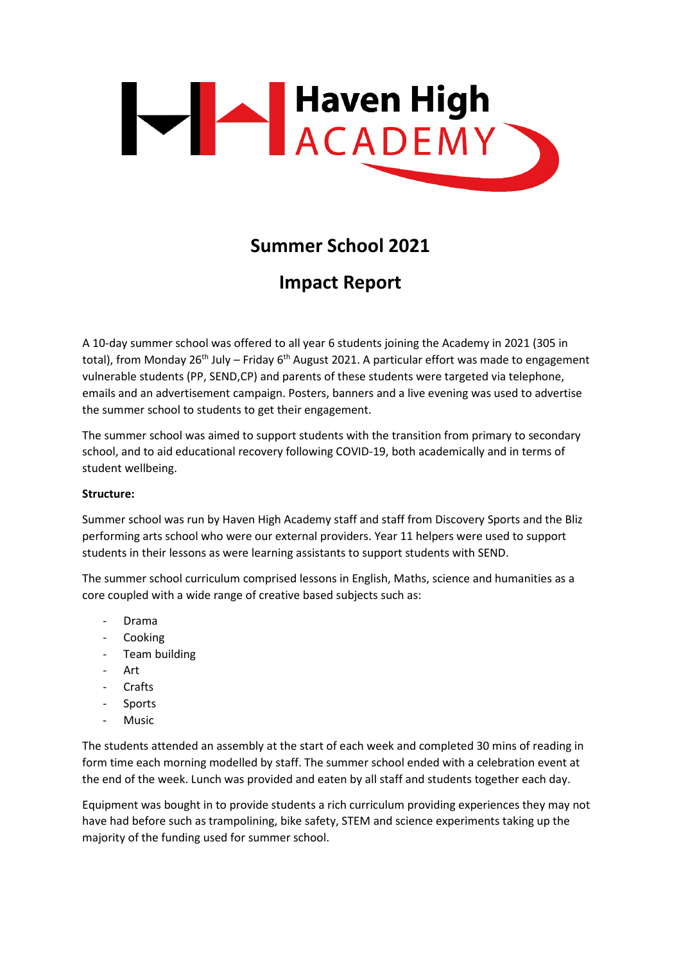

# **Summer School 2021**

# **Impact Report**

A 10-day summer school was offered to all year 6 students joining the Academy in 2021 (305 in total), from Monday 26<sup>th</sup> July – Friday 6<sup>th</sup> August 2021. A particular effort was made to engagement vulnerable students (PP, SEND,CP) and parents of these students were targeted via telephone, emails and an advertisement campaign. Posters, banners and a live evening was used to advertise the summer school to students to get their engagement.

The summer school was aimed to support students with the transition from primary to secondary school, and to aid educational recovery following COVID-19, both academically and in terms of student wellbeing.

# **Structure:**

Summer school was run by Haven High Academy staff and staff from Discovery Sports and the Bliz performing arts school who were our external providers. Year 11 helpers were used to support students in their lessons as were learning assistants to support students with SEND.

The summer school curriculum comprised lessons in English, Maths, science and humanities as a core coupled with a wide range of creative based subjects such as:

- Drama
- Cooking
- Team building
- Art
- **Crafts**
- **Sports**
- Music

The students attended an assembly at the start of each week and completed 30 mins of reading in form time each morning modelled by staff. The summer school ended with a celebration event at the end of the week. Lunch was provided and eaten by all staff and students together each day.

Equipment was bought in to provide students a rich curriculum providing experiences they may not have had before such as trampolining, bike safety, STEM and science experiments taking up the majority of the funding used for summer school.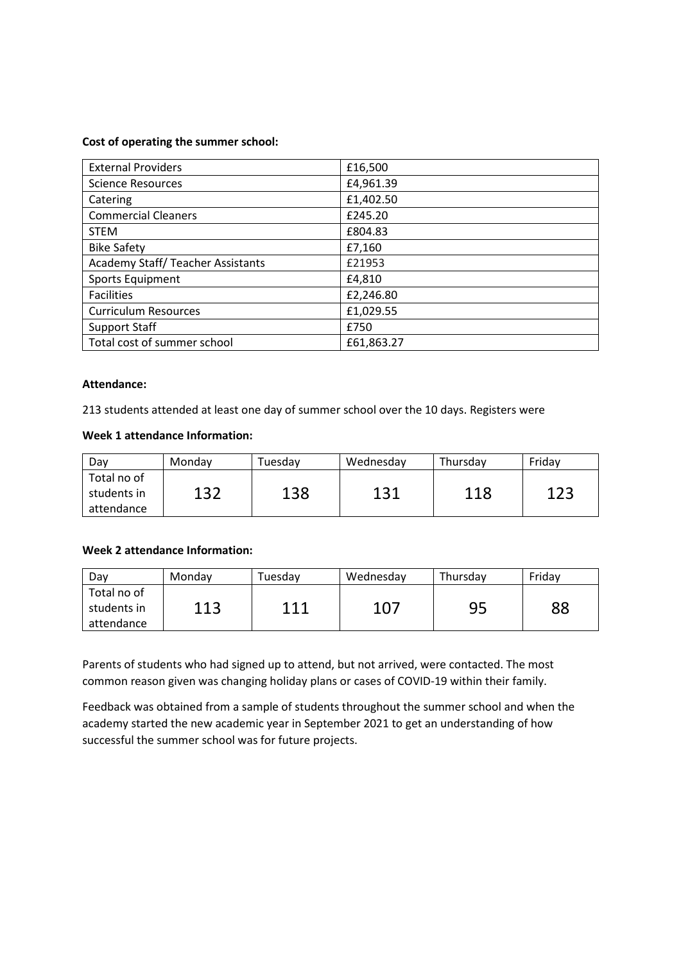#### **Cost of operating the summer school:**

| <b>External Providers</b>               | £16,500    |
|-----------------------------------------|------------|
| <b>Science Resources</b>                | £4,961.39  |
| Catering                                | £1,402.50  |
| <b>Commercial Cleaners</b>              | £245.20    |
| <b>STEM</b>                             | £804.83    |
| <b>Bike Safety</b>                      | £7,160     |
| <b>Academy Staff/Teacher Assistants</b> | £21953     |
| Sports Equipment                        | £4,810     |
| <b>Facilities</b>                       | £2,246.80  |
| <b>Curriculum Resources</b>             | £1,029.55  |
| <b>Support Staff</b>                    | £750       |
| Total cost of summer school             | £61,863.27 |

#### **Attendance:**

213 students attended at least one day of summer school over the 10 days. Registers were

#### **Week 1 attendance Information:**

| Dav                                      | Mondav     | Tuesdav | Wednesday  | Thursdav | Fridav |
|------------------------------------------|------------|---------|------------|----------|--------|
| Total no of<br>students in<br>attendance | 1つつ<br>⊥J∠ | 138     | 121<br>ᆂᇦᆂ | 118      | 123    |

### **Week 2 attendance Information:**

| Day                                      | Mondav     | Tuesdav | Wednesday | Thursday | Friday |
|------------------------------------------|------------|---------|-----------|----------|--------|
| Total no of<br>students in<br>attendance | 112<br>ᆂᆂᇦ | 111     | 107       | 95       | 88     |

Parents of students who had signed up to attend, but not arrived, were contacted. The most common reason given was changing holiday plans or cases of COVID-19 within their family.

Feedback was obtained from a sample of students throughout the summer school and when the academy started the new academic year in September 2021 to get an understanding of how successful the summer school was for future projects.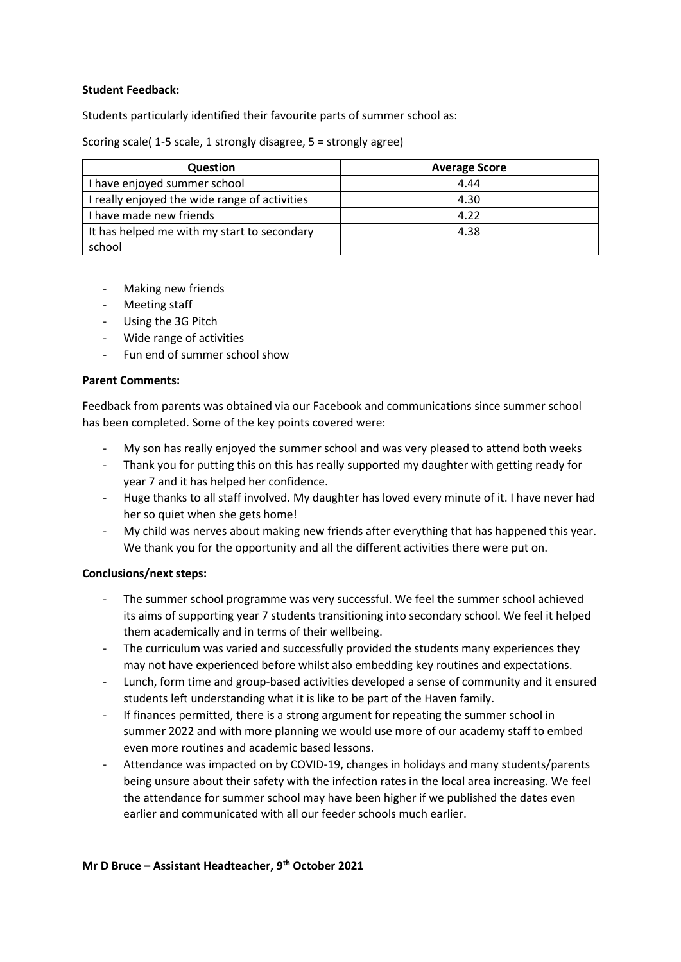#### **Student Feedback:**

Students particularly identified their favourite parts of summer school as:

Scoring scale( 1-5 scale, 1 strongly disagree, 5 = strongly agree)

| Question                                      | <b>Average Score</b> |
|-----------------------------------------------|----------------------|
| I have enjoyed summer school                  | 4.44                 |
| I really enjoyed the wide range of activities | 4.30                 |
| I have made new friends                       | 4.22                 |
| It has helped me with my start to secondary   | 4.38                 |
| school                                        |                      |

- Making new friends
- Meeting staff
- Using the 3G Pitch
- Wide range of activities
- Fun end of summer school show

#### **Parent Comments:**

Feedback from parents was obtained via our Facebook and communications since summer school has been completed. Some of the key points covered were:

- My son has really enjoyed the summer school and was very pleased to attend both weeks
- Thank you for putting this on this has really supported my daughter with getting ready for year 7 and it has helped her confidence.
- Huge thanks to all staff involved. My daughter has loved every minute of it. I have never had her so quiet when she gets home!
- My child was nerves about making new friends after everything that has happened this year. We thank you for the opportunity and all the different activities there were put on.

# **Conclusions/next steps:**

- The summer school programme was very successful. We feel the summer school achieved its aims of supporting year 7 students transitioning into secondary school. We feel it helped them academically and in terms of their wellbeing.
- The curriculum was varied and successfully provided the students many experiences they may not have experienced before whilst also embedding key routines and expectations.
- Lunch, form time and group-based activities developed a sense of community and it ensured students left understanding what it is like to be part of the Haven family.
- If finances permitted, there is a strong argument for repeating the summer school in summer 2022 and with more planning we would use more of our academy staff to embed even more routines and academic based lessons.
- Attendance was impacted on by COVID-19, changes in holidays and many students/parents being unsure about their safety with the infection rates in the local area increasing. We feel the attendance for summer school may have been higher if we published the dates even earlier and communicated with all our feeder schools much earlier.

#### **Mr D Bruce – Assistant Headteacher, 9th October 2021**